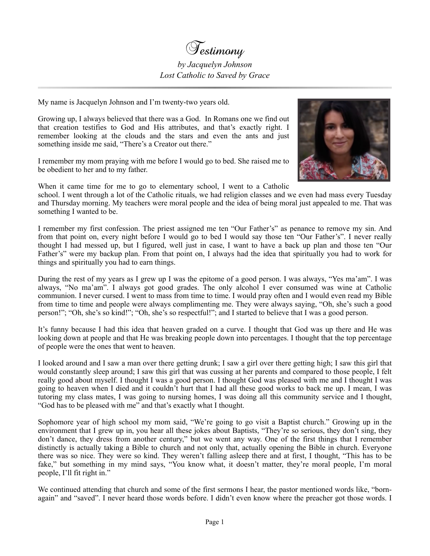

## *by Jacquelyn Johnson Lost Catholic to Saved by Grace*

My name is Jacquelyn Johnson and I'm twenty-two years old.

Growing up, I always believed that there was a God. In Romans one we find out that creation testifies to God and His attributes, and that's exactly right. I remember looking at the clouds and the stars and even the ants and just something inside me said, "There's a Creator out there."

I remember my mom praying with me before I would go to bed. She raised me to be obedient to her and to my father.



When it came time for me to go to elementary school, I went to a Catholic school. I went through a lot of the Catholic rituals, we had religion classes and we even had mass every Tuesday and Thursday morning. My teachers were moral people and the idea of being moral just appealed to me. That was something I wanted to be.

I remember my first confession. The priest assigned me ten "Our Father's" as penance to remove my sin. And from that point on, every night before I would go to bed I would say those ten "Our Father's". I never really thought I had messed up, but I figured, well just in case, I want to have a back up plan and those ten "Our Father's" were my backup plan. From that point on, I always had the idea that spiritually you had to work for things and spiritually you had to earn things.

During the rest of my years as I grew up I was the epitome of a good person. I was always, "Yes ma'am". I was always, "No ma'am". I always got good grades. The only alcohol I ever consumed was wine at Catholic communion. I never cursed. I went to mass from time to time. I would pray often and I would even read my Bible from time to time and people were always complimenting me. They were always saying, "Oh, she's such a good person!"; "Oh, she's so kind!"; "Oh, she's so respectful!"; and I started to believe that I was a good person.

It's funny because I had this idea that heaven graded on a curve. I thought that God was up there and He was looking down at people and that He was breaking people down into percentages. I thought that the top percentage of people were the ones that went to heaven.

I looked around and I saw a man over there getting drunk; I saw a girl over there getting high; I saw this girl that would constantly sleep around; I saw this girl that was cussing at her parents and compared to those people, I felt really good about myself. I thought I was a good person. I thought God was pleased with me and I thought I was going to heaven when I died and it couldn't hurt that I had all these good works to back me up. I mean, I was tutoring my class mates, I was going to nursing homes, I was doing all this community service and I thought, "God has to be pleased with me" and that's exactly what I thought.

Sophomore year of high school my mom said, "We're going to go visit a Baptist church." Growing up in the environment that I grew up in, you hear all these jokes about Baptists, "They're so serious, they don't sing, they don't dance, they dress from another century," but we went any way. One of the first things that I remember distinctly is actually taking a Bible to church and not only that, actually opening the Bible in church. Everyone there was so nice. They were so kind. They weren't falling asleep there and at first, I thought, "This has to be fake," but something in my mind says, "You know what, it doesn't matter, they're moral people, I'm moral people, I'll fit right in."

We continued attending that church and some of the first sermons I hear, the pastor mentioned words like, "bornagain" and "saved". I never heard those words before. I didn't even know where the preacher got those words. I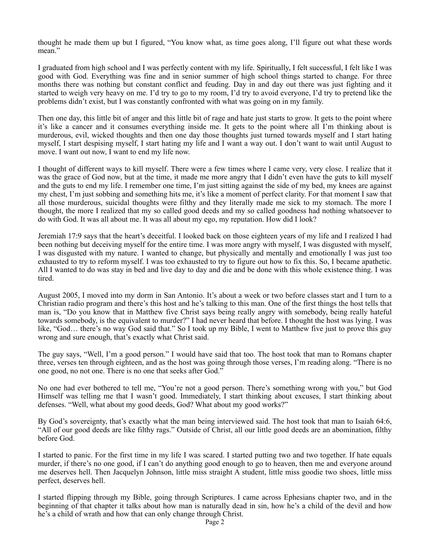thought he made them up but I figured, "You know what, as time goes along, I'll figure out what these words mean."

I graduated from high school and I was perfectly content with my life. Spiritually, I felt successful, I felt like I was good with God. Everything was fine and in senior summer of high school things started to change. For three months there was nothing but constant conflict and feuding. Day in and day out there was just fighting and it started to weigh very heavy on me. I'd try to go to my room, I'd try to avoid everyone, I'd try to pretend like the problems didn't exist, but I was constantly confronted with what was going on in my family.

Then one day, this little bit of anger and this little bit of rage and hate just starts to grow. It gets to the point where it's like a cancer and it consumes everything inside me. It gets to the point where all I'm thinking about is murderous, evil, wicked thoughts and then one day those thoughts just turned towards myself and I start hating myself, I start despising myself, I start hating my life and I want a way out. I don't want to wait until August to move. I want out now, I want to end my life now.

I thought of different ways to kill myself. There were a few times where I came very, very close. I realize that it was the grace of God now, but at the time, it made me more angry that I didn't even have the guts to kill myself and the guts to end my life. I remember one time, I'm just sitting against the side of my bed, my knees are against my chest, I'm just sobbing and something hits me, it's like a moment of perfect clarity. For that moment I saw that all those murderous, suicidal thoughts were filthy and they literally made me sick to my stomach. The more I thought, the more I realized that my so called good deeds and my so called goodness had nothing whatsoever to do with God. It was all about me. It was all about my ego, my reputation. How did I look?

Jeremiah 17:9 says that the heart's deceitful. I looked back on those eighteen years of my life and I realized I had been nothing but deceiving myself for the entire time. I was more angry with myself, I was disgusted with myself, I was disgusted with my nature. I wanted to change, but physically and mentally and emotionally I was just too exhausted to try to reform myself. I was too exhausted to try to figure out how to fix this. So, I became apathetic. All I wanted to do was stay in bed and live day to day and die and be done with this whole existence thing. I was tired.

August 2005, I moved into my dorm in San Antonio. It's about a week or two before classes start and I turn to a Christian radio program and there's this host and he's talking to this man. One of the first things the host tells that man is, "Do you know that in Matthew five Christ says being really angry with somebody, being really hateful towards somebody, is the equivalent to murder?" I had never heard that before. I thought the host was lying. I was like, "God… there's no way God said that." So I took up my Bible, I went to Matthew five just to prove this guy wrong and sure enough, that's exactly what Christ said.

The guy says, "Well, I'm a good person." I would have said that too. The host took that man to Romans chapter three, verses ten through eighteen, and as the host was going through those verses, I'm reading along. "There is no one good, no not one. There is no one that seeks after God."

No one had ever bothered to tell me, "You're not a good person. There's something wrong with you," but God Himself was telling me that I wasn't good. Immediately, I start thinking about excuses, I start thinking about defenses. "Well, what about my good deeds, God? What about my good works?"

By God's sovereignty, that's exactly what the man being interviewed said. The host took that man to Isaiah 64:6, "All of our good deeds are like filthy rags." Outside of Christ, all our little good deeds are an abomination, filthy before God.

I started to panic. For the first time in my life I was scared. I started putting two and two together. If hate equals murder, if there's no one good, if I can't do anything good enough to go to heaven, then me and everyone around me deserves hell. Then Jacquelyn Johnson, little miss straight A student, little miss goodie two shoes, little miss perfect, deserves hell.

I started flipping through my Bible, going through Scriptures. I came across Ephesians chapter two, and in the beginning of that chapter it talks about how man is naturally dead in sin, how he's a child of the devil and how he's a child of wrath and how that can only change through Christ.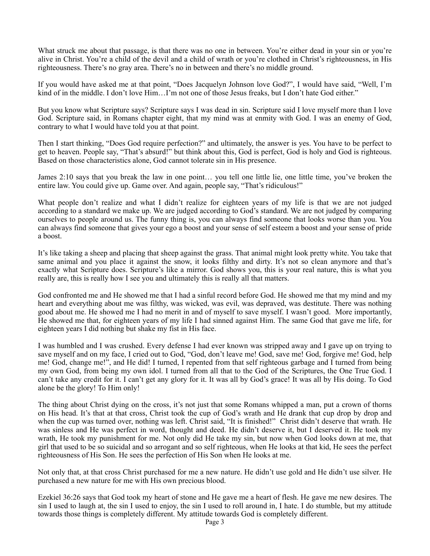What struck me about that passage, is that there was no one in between. You're either dead in your sin or you're alive in Christ. You're a child of the devil and a child of wrath or you're clothed in Christ's righteousness, in His righteousness. There's no gray area. There's no in between and there's no middle ground.

If you would have asked me at that point, "Does Jacquelyn Johnson love God?", I would have said, "Well, I'm kind of in the middle. I don't love Him…I'm not one of those Jesus freaks, but I don't hate God either."

But you know what Scripture says? Scripture says I was dead in sin. Scripture said I love myself more than I love God. Scripture said, in Romans chapter eight, that my mind was at enmity with God. I was an enemy of God, contrary to what I would have told you at that point.

Then I start thinking, "Does God require perfection?" and ultimately, the answer is yes. You have to be perfect to get to heaven. People say, "That's absurd!" but think about this, God is perfect, God is holy and God is righteous. Based on those characteristics alone, God cannot tolerate sin in His presence.

James 2:10 says that you break the law in one point… you tell one little lie, one little time, you've broken the entire law. You could give up. Game over. And again, people say, "That's ridiculous!"

What people don't realize and what I didn't realize for eighteen years of my life is that we are not judged according to a standard we make up. We are judged according to God's standard. We are not judged by comparing ourselves to people around us. The funny thing is, you can always find someone that looks worse than you. You can always find someone that gives your ego a boost and your sense of self esteem a boost and your sense of pride a boost.

It's like taking a sheep and placing that sheep against the grass. That animal might look pretty white. You take that same animal and you place it against the snow, it looks filthy and dirty. It's not so clean anymore and that's exactly what Scripture does. Scripture's like a mirror. God shows you, this is your real nature, this is what you really are, this is really how I see you and ultimately this is really all that matters.

God confronted me and He showed me that I had a sinful record before God. He showed me that my mind and my heart and everything about me was filthy, was wicked, was evil, was depraved, was destitute. There was nothing good about me. He showed me I had no merit in and of myself to save myself. I wasn't good. More importantly, He showed me that, for eighteen years of my life I had sinned against Him. The same God that gave me life, for eighteen years I did nothing but shake my fist in His face.

I was humbled and I was crushed. Every defense I had ever known was stripped away and I gave up on trying to save myself and on my face, I cried out to God, "God, don't leave me! God, save me! God, forgive me! God, help me! God, change me!", and He did! I turned, I repented from that self righteous garbage and I turned from being my own God, from being my own idol. I turned from all that to the God of the Scriptures, the One True God. I can't take any credit for it. I can't get any glory for it. It was all by God's grace! It was all by His doing. To God alone be the glory! To Him only!

The thing about Christ dying on the cross, it's not just that some Romans whipped a man, put a crown of thorns on His head. It's that at that cross, Christ took the cup of God's wrath and He drank that cup drop by drop and when the cup was turned over, nothing was left. Christ said, "It is finished!" Christ didn't deserve that wrath. He was sinless and He was perfect in word, thought and deed. He didn't deserve it, but I deserved it. He took my wrath, He took my punishment for me. Not only did He take my sin, but now when God looks down at me, that girl that used to be so suicidal and so arrogant and so self righteous, when He looks at that kid, He sees the perfect righteousness of His Son. He sees the perfection of His Son when He looks at me.

Not only that, at that cross Christ purchased for me a new nature. He didn't use gold and He didn't use silver. He purchased a new nature for me with His own precious blood.

Ezekiel 36:26 says that God took my heart of stone and He gave me a heart of flesh. He gave me new desires. The sin I used to laugh at, the sin I used to enjoy, the sin I used to roll around in, I hate. I do stumble, but my attitude towards those things is completely different. My attitude towards God is completely different.